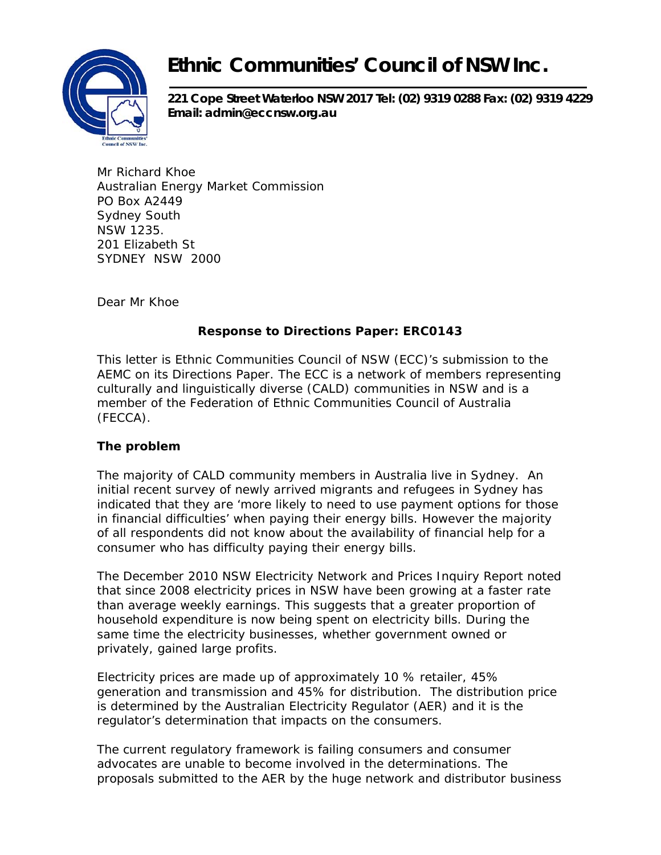

## **Ethnic Communities' Council of NSW Inc.**

**221 Cope Street Waterloo NSW 2017 Tel: (02) 9319 0288 Fax: (02) 9319 4229 Email: admin@eccnsw.org.au** 

Mr Richard Khoe Australian Energy Market Commission PO Box A2449 Sydney South NSW 1235. 201 Elizabeth St SYDNEY NSW 2000

Dear Mr Khoe

## **Response to Directions Paper: ERC0143**

This letter is Ethnic Communities Council of NSW (ECC)'s submission to the AEMC on its Directions Paper. The ECC is a network of members representing culturally and linguistically diverse (CALD) communities in NSW and is a member of the Federation of Ethnic Communities Council of Australia (FECCA).

## **The problem**

The majority of CALD community members in Australia live in Sydney. An initial recent survey of newly arrived migrants and refugees in Sydney has indicated that they are 'more likely to need to use payment options for those in financial difficulties' when paying their energy bills. However the majority of all respondents did not know about the availability of financial help for a consumer who has difficulty paying their energy bills.

The December 2010 *NSW Electricity Network and Prices Inquiry* Report noted that since 2008 electricity prices in NSW have been growing at a faster rate than average weekly earnings. This suggests that a greater proportion of household expenditure is now being spent on electricity bills. During the same time the electricity businesses, whether government owned or privately, gained large profits.

Electricity prices are made up of approximately 10 % retailer, 45% generation and transmission and 45% for distribution. The distribution price is determined by the Australian Electricity Regulator (AER) and it is the regulator's determination that impacts on the consumers.

The current regulatory framework is failing consumers and consumer advocates are unable to become involved in the determinations. The proposals submitted to the AER by the huge network and distributor business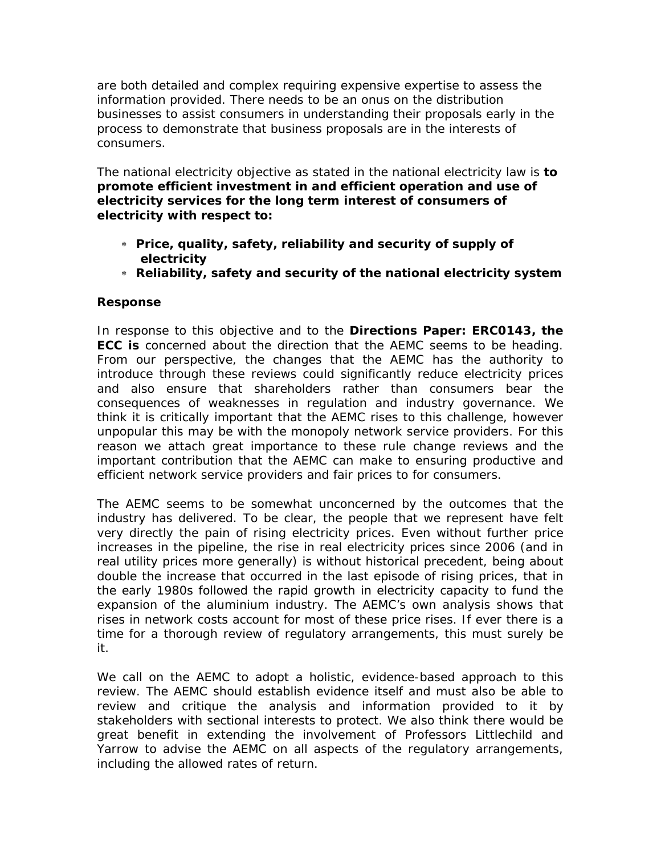are both detailed and complex requiring expensive expertise to assess the information provided. There needs to be an onus on the distribution businesses to assist consumers in understanding their proposals early in the process to demonstrate that business proposals are in the interests of consumers.

The national electricity objective as stated in the national electricity law is *to promote efficient investment in and efficient operation and use of electricity services for the* **long term interest of consumers** *of electricity with respect to:* 

- ∗ *Price, quality, safety, reliability and security of supply of electricity*
- ∗ *Reliability, safety and security of the national electricity system*

## **Response**

In response to this objective and to the **Directions Paper: ERC0143, the ECC is** concerned about the direction that the AEMC seems to be heading. From our perspective, the changes that the AEMC has the authority to introduce through these reviews could significantly reduce electricity prices and also ensure that shareholders rather than consumers bear the consequences of weaknesses in regulation and industry governance. We think it is critically important that the AEMC rises to this challenge, however unpopular this may be with the monopoly network service providers. For this reason we attach great importance to these rule change reviews and the important contribution that the AEMC can make to ensuring productive and efficient network service providers and fair prices to for consumers.

The AEMC seems to be somewhat unconcerned by the outcomes that the industry has delivered. To be clear, the people that we represent have felt very directly the pain of rising electricity prices. Even without further price increases in the pipeline, the rise in real electricity prices since 2006 (and in real utility prices more generally) is without historical precedent, being about double the increase that occurred in the last episode of rising prices, that in the early 1980s followed the rapid growth in electricity capacity to fund the expansion of the aluminium industry. The AEMC's own analysis shows that rises in network costs account for most of these price rises. If ever there is a time for a thorough review of regulatory arrangements, this must surely be it.

We call on the AEMC to adopt a holistic, evidence-based approach to this review. The AEMC should establish evidence itself and must also be able to review and critique the analysis and information provided to it by stakeholders with sectional interests to protect. We also think there would be great benefit in extending the involvement of Professors Littlechild and Yarrow to advise the AEMC on all aspects of the regulatory arrangements, including the allowed rates of return.